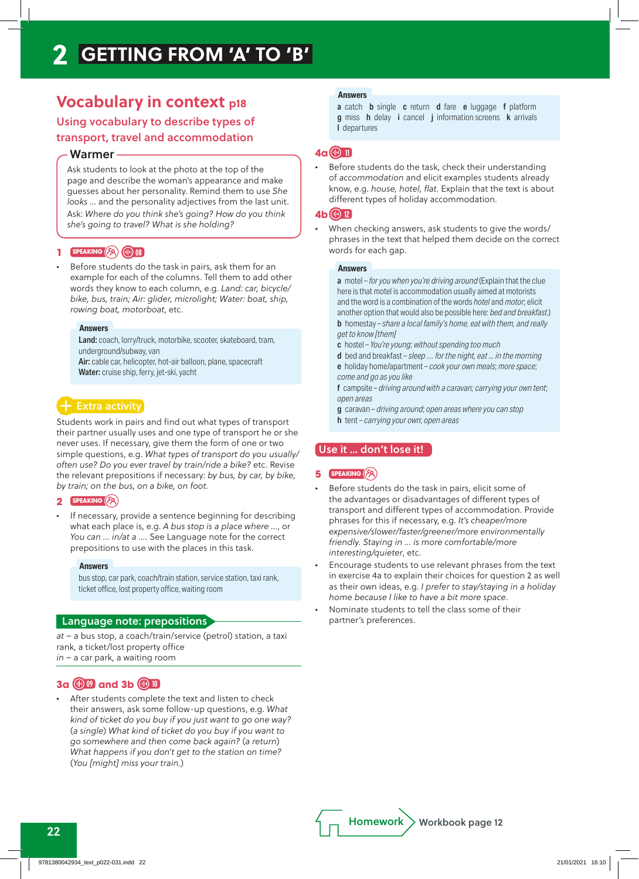## **Vocabulary in context p18**

## Using vocabulary to describe types of transport, travel and accommodation

### Warmer

Ask students to look at the photo at the top of the page and describe the woman's appearance and make guesses about her personality. Remind them to use *She looks* … and the personality adjectives from the last unit. Ask: *Where do you think she's going? How do you think she's going to travel? What is she holding?*

## **1 speaking 08**

*•* Before students do the task in pairs, ask them for an example for each of the columns. Tell them to add other words they know to each column, e.g. *Land: car, bicycle/ bike, bus, train; Air: glider, microlight; Water: boat, ship, rowing boat, motorboat*, etc.

#### **Answers**

Land: coach, lorry/truck, motorbike, scooter, skateboard, tram, underground/subway, van

Air: cable car, helicopter, hot-air balloon, plane, spacecraft Water: cruise ship, ferry, jet-ski, yacht

## Extra activity

Students work in pairs and find out what types of transport their partner usually uses and one type of transport he or she never uses. If necessary, give them the form of one or two simple questions, e.g. *What types of transport do you usually/ often use? Do you ever travel by train/ride a bike?* etc. Revise the relevant prepositions if necessary: *by bus, by car, by bike, by train; on the bus, on a bike, on foot.*

#### **2 speaking**

*•* If necessary, provide a sentence beginning for describing what each place is, e.g. *A bus stop is a place where …*, or *You can … in/at a ….* See Language note for the correct prepositions to use with the places in this task.

#### **Answers**

bus stop, car park, coach/train station, service station, taxi rank, ticket office, lost property office, waiting room

#### Language note: prepositions

*at* – a bus stop, a coach/train/service (petrol) station, a taxi rank, a ticket/lost property office *in* – a car park, a waiting room

## **3a 09 and 3b 10**

*•* After students complete the text and listen to check their answers, ask some follow-up questions, e.g. *What kind of ticket do you buy if you just want to go one way?*  (*a single*) *What kind of ticket do you buy if you want to go somewhere and then come back again?* (*a return*) *What happens if you don't get to the station on time?*  (*You [might] miss your train.*)

#### **Answers**

a catch **b** single **c** return **d** fare **e** luggage **f** platform g miss h delay i cancel j information screens k arrivals l departures

## **4a 11**

*•* Before students do the task, check their understanding of *accommodation* and elicit examples students already know, e.g. *house, hotel, flat.* Explain that the text is about different types of holiday accommodation.

#### **4b 12**

*•* When checking answers, ask students to give the words/ phrases in the text that helped them decide on the correct words for each gap.

#### **Answers**

a motel – *for you when you're driving around* (Explain that the clue here is that motel is accommodation usually aimed at motorists and the word is a combination of the words *hotel* and *motor*; elicit another option that would also be possible here: *bed and breakfast*.) b homestay – *share a local family's home, eat with them, and really get to know [them]*

- c hostel *You're young*; *without spending too much*
- d bed and breakfast *sleep … for the night, eat ... in the morning*
- e holiday home/apartment *cook your own meals*; *more space*; *come and go as you like*

f campsite – *driving around with a caravan; carrying your own tent*; *open areas*

g caravan – *driving around*; *open areas where you can stop* h tent – *carrying your own*; *open areas*

#### Use it … don't lose it!

#### **5 speaking**

- *•* Before students do the task in pairs, elicit some of the advantages or disadvantages of different types of transport and different types of accommodation. Provide phrases for this if necessary, e.g. *It's cheaper/more expensive/slower/faster/greener/more environmentally friendly. Staying in … is more comfortable/more interesting/quieter*, etc.
- *•* Encourage students to use relevant phrases from the text in exercise 4a to explain their choices for question 2 as well as their own ideas, e.g. *I prefer to stay/staying in a holiday home because I like to have a bit more space*.
- *•* Nominate students to tell the class some of their partner's preferences.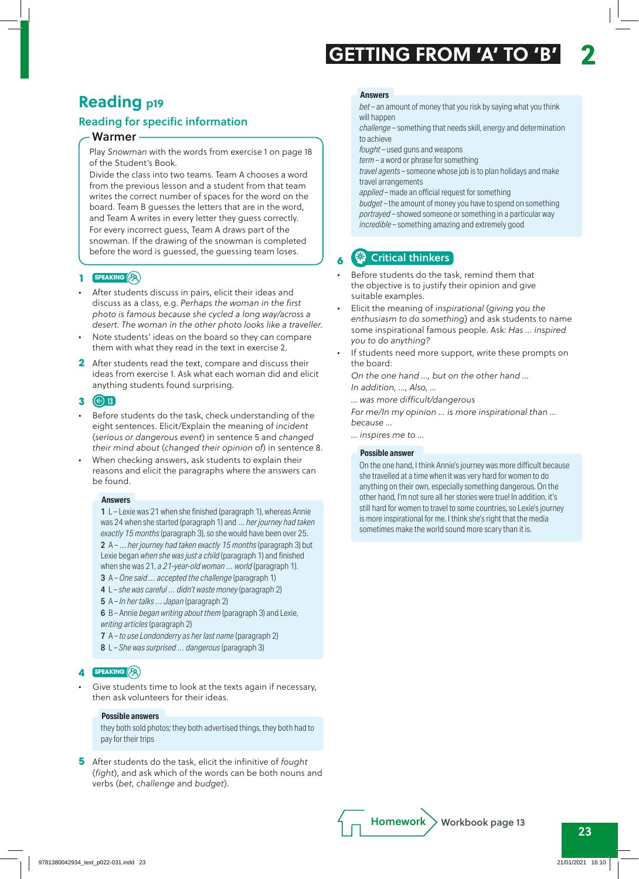## **Reading p19**

## Reading for specific information

### Warmer

Play *Snowman* with the words from exercise 1 on page 18 of the Student's Book.

Divide the class into two teams. Team A chooses a word from the previous lesson and a student from that team writes the correct number of spaces for the word on the board. Team B guesses the letters that are in the word, and Team A writes in every letter they guess correctly. For every incorrect guess, Team A draws part of the snowman. If the drawing of the snowman is completed before the word is guessed, the guessing team loses.

#### **1 speaking**

- *•* After students discuss in pairs, elicit their ideas and discuss as a class, e.g. *Perhaps the woman in the first photo is famous because she cycled a long way/across a desert. The woman in the other photo looks like a traveller.*
- *•* Note students' ideas on the board so they can compare them with what they read in the text in exercise 2.
- **2** After students read the text, compare and discuss their ideas from exercise 1. Ask what each woman did and elicit anything students found surprising.

#### **3 13**

- *•* Before students do the task, check understanding of the eight sentences. Elicit/Explain the meaning of *incident* (*serious or dangerous event*) in sentence 5 and *changed their mind about* (*changed their opinion of*) in sentence 8.
- *•* When checking answers, ask students to explain their reasons and elicit the paragraphs where the answers can be found.

#### **Answers**

1 L – Lexie was 21 when she finished (paragraph 1), whereas Annie was 24 when she started (paragraph 1) and … *her journey had taken exactly 15 months* (paragraph 3), so she would have been over 25. 2 A – … *her journey had taken exactly 15 months* (paragraph 3) but Lexie began *when she was just a child* (paragraph 1) and finished when she was 21, *a 21-year-old woman … world* (paragraph 1). 3 A – *One said … accepted the challenge* (paragraph 1)

- 4 L *she was careful … didn't waste money* (paragraph 2)
- 5 A *In her talks … Japan* (paragraph 2)

6 B – Annie *began writing about them* (paragraph 3) and Lexie, *writing articles* (paragraph 2)

- 7 A *to use Londonderry as her last name* (paragraph 2)
- 8 L *She was surprised … dangerous* (paragraph 3)

#### **4 speaking**

*•* Give students time to look at the texts again if necessary, then ask volunteers for their ideas.

#### **Possible answers**

they both sold photos; they both advertised things, they both had to pay for their trips

**5** After students do the task, elicit the infinitive of *fought* (*fight*), and ask which of the words can be both nouns and verbs (*bet*, *challenge* and *budget*).

#### **Answers**

*bet –* an amount of money that you risk by saying what you think will happen

*challenge –* something that needs skill, energy and determination to achieve

*fought –* used guns and weapons

*term –* a word or phrase for something

*travel agents –* someone whose job is to plan holidays and make travel arrangements

*applied –* made an official request for something *budget –* the amount of money you have to spend on something *portrayed –* showed someone or something in a particular way *incredible –* something amazing and extremely good

## **69** Critical thinkers

- *•* Before students do the task, remind them that the objective is to justify their opinion and give suitable examples.
- *•* Elicit the meaning of *inspirational* (*giving you the enthusiasm to do something*) and ask students to name some inspirational famous people. Ask: *Has … inspired you to do anything?*
- *•* If students need more support, write these prompts on the board:

*On the one hand …, but on the other hand … In addition, …, Also, …*

*… was more difficult/dangerous*

*For me/In my opinion … is more inspirational than … because …*

*… inspires me to …*

#### **Possible answer**

On the one hand, I think Annie's journey was more difficult because she travelled at a time when it was very hard for women to do anything on their own, especially something dangerous. On the other hand, I'm not sure all her stories were true! In addition, it's still hard for women to travel to some countries, so Lexie's journey is more inspirational for me. I think she's right that the media sometimes make the world sound more scary than it is.

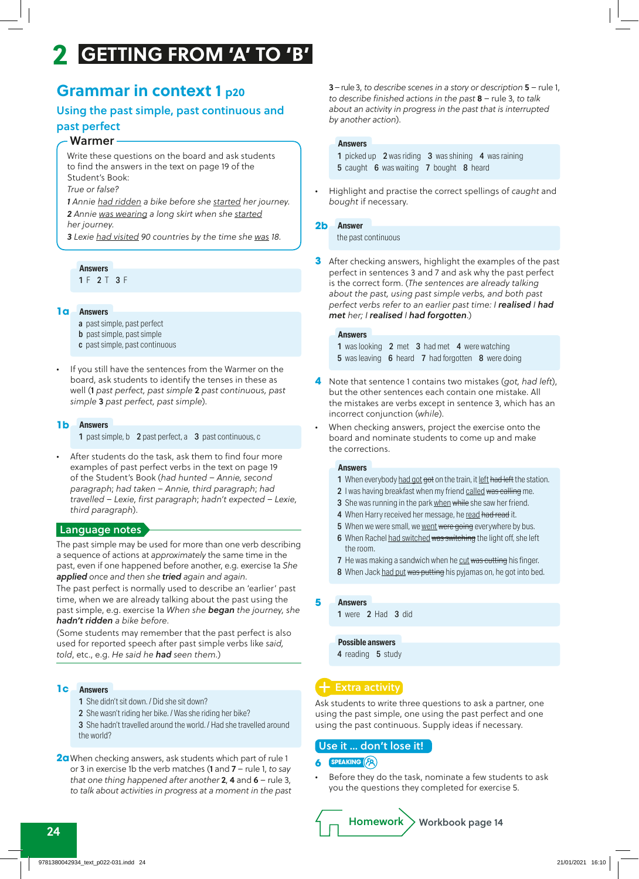## **Grammar in context 1 p20**

## Using the past simple, past continuous and past perfect

#### Warmer

Write these questions on the board and ask students to find the answers in the text on page 19 of the Student's Book:

*True or false?*

*1 Annie had ridden a bike before she started her journey. 2 Annie was wearing a long skirt when she started her journey.*

*3 Lexie had visited 90 countries by the time she was 18.*

### **Answers**

1 F 2 T 3 F

## **Answers 1a**

- a past simple, past perfect
- **b** past simple, past simple
- c past simple, past continuous
- *•* If you still have the sentences from the Warmer on the board, ask students to identify the tenses in these as well (1 *past perfect, past simple* 2 *past continuous, past simple* 3 *past perfect, past simple*).

#### **Answers 1b**

1 past simple, b 2 past perfect, a 3 past continuous, c

*•* After students do the task, ask them to find four more examples of past perfect verbs in the text on page 19 of the Student's Book (*had hunted* – *Annie, second paragraph*; *had taken* – *Annie, third paragraph*; *had travelled* – *Lexie, first paragraph*; *hadn't expected – Lexie, third paragraph*).

## Language notes

The past simple may be used for more than one verb describing a sequence of actions at *approximately* the same time in the past, even if one happened before another, e.g. exercise 1a *She applied once and then she tried again and again*.

The past perfect is normally used to describe an 'earlier' past time, when we are already talking about the past using the past simple, e.g. exercise 1a *When she began the journey, she hadn't ridden a bike before*.

(Some students may remember that the past perfect is also used for reported speech after past simple verbs like *said, told*, etc., e.g. *He said he had seen them.*)

#### **Answers 1c**

- 1 She didn't sit down. / Did she sit down?
- 2 She wasn't riding her bike. / Was she riding her bike?

3 She hadn't travelled around the world. / Had she travelled around the world?

**2a**When checking answers, ask students which part of rule 1 or 3 in exercise 1b the verb matches (1 and 7 – rule 1, *to say that one thing happened after another* 2, 4 and 6 – rule 3, *to talk about activities in progress at a moment in the past* 3 – rule 3, *to describe scenes in a story or description* 5 – rule 1, *to describe finished actions in the past* 8 – rule 3, *to talk about an activity in progress in the past that is interrupted by another action*).

#### **Answers**

1 picked up 2 was riding 3 was shining 4 was raining 5 caught 6 was waiting 7 bought 8 heard

*•* Highlight and practise the correct spellings of *caught* and *bought* if necessary.

### **Answer 2b**

the past continuous

**3** After checking answers, highlight the examples of the past perfect in sentences 3 and 7 and ask why the past perfect is the correct form. (*The sentences are already talking about the past, using past simple verbs, and both past perfect verbs refer to an earlier past time: I realised I had met her; I realised I had forgotten*.)

#### **Answers**

1 was looking 2 met 3 had met 4 were watching 5 was leaving 6 heard 7 had forgotten 8 were doing

- **4** Note that sentence 1 contains two mistakes (*got, had left*), but the other sentences each contain one mistake. All the mistakes are verbs except in sentence 3, which has an incorrect conjunction (*while*).
- *•* When checking answers, project the exercise onto the board and nominate students to come up and make the corrections.

#### **Answers**

- 1 When everybody had got got on the train, it left had left the station.
- 2 I was having breakfast when my friend called was calling me.
- 3 She was running in the park when while she saw her friend.
- 4 When Harry received her message, he read had read it.
- 5 When we were small, we went were going everywhere by bus.
- 6 When Rachel had switched was switching the light off, she left the room.
- **7** He was making a sandwich when he cut was cutting his finger.
- 8 When Jack had put was putting his pyjamas on, he got into bed.

#### **Answers 5**

1 were 2 Had 3 did

#### **Possible answers**

4 reading 5 study

## Extra activity

Ask students to write three questions to ask a partner, one using the past simple, one using the past perfect and one using the past continuous. Supply ideas if necessary.

#### Use it … don't lose it!

#### **6 speaking**

*•* Before they do the task, nominate a few students to ask you the questions they completed for exercise 5.

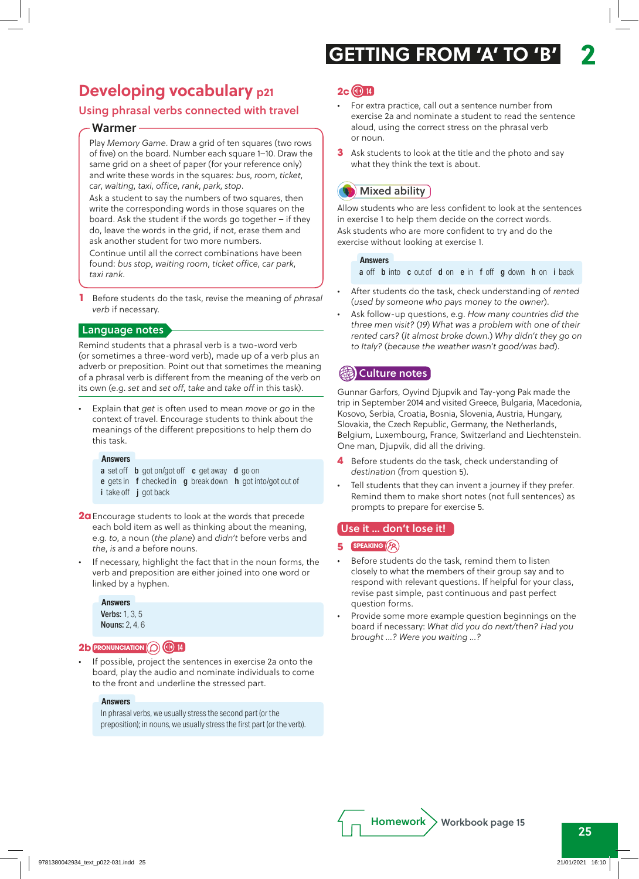# **Developing vocabulary p21**

## Using phrasal verbs connected with travel

## Warmer

Play *Memory Game*. Draw a grid of ten squares (two rows of five) on the board. Number each square 1–10. Draw the same grid on a sheet of paper (for your reference only) and write these words in the squares: *bus*, *room*, *ticket*, *car*, *waiting*, *taxi*, *office*, *rank*, *park*, *stop*.

Ask a student to say the numbers of two squares, then write the corresponding words in those squares on the board. Ask the student if the words go together – if they do, leave the words in the grid, if not, erase them and ask another student for two more numbers.

Continue until all the correct combinations have been found: *bus stop*, *waiting room*, *ticket office*, *car park*, *taxi rank*.

**1** Before students do the task, revise the meaning of *phrasal verb* if necessary.

## Language notes

Remind students that a phrasal verb is a two-word verb (or sometimes a three-word verb), made up of a verb plus an adverb or preposition. Point out that sometimes the meaning of a phrasal verb is different from the meaning of the verb on its own (e.g. *set* and *set off*, *take* and *take off* in this task).

*•* Explain that *get* is often used to mean *move* or *go* in the context of travel. Encourage students to think about the meanings of the different prepositions to help them do this task.

#### **Answers**

a set off **b** got on/got off **c** get away **d** go on e gets in f checked in g break down h got into/got out of i take off j got back

**2a**Encourage students to look at the words that precede each bold item as well as thinking about the meaning, e.g. *to*, a noun (*the plane*) and *didn't* before verbs and *the*, *is* and *a* before nouns.

*•* If necessary, highlight the fact that in the noun forms, the verb and preposition are either joined into one word or linked by a hyphen.

## Verbs: 1, 3, 5 **Answers**

Nouns: 2, 4, 6

## **2b pronunciation 14**

*•* If possible, project the sentences in exercise 2a onto the board, play the audio and nominate individuals to come to the front and underline the stressed part.

## **Answers**

In phrasal verbs, we usually stress the second part (or the preposition); in nouns, we usually stress the first part (or the verb).

## **2c 14**

- *•* For extra practice, call out a sentence number from exercise 2a and nominate a student to read the sentence aloud, using the correct stress on the phrasal verb or noun.
- **3** Ask students to look at the title and the photo and say what they think the text is about.

## **Mixed ability**

Allow students who are less confident to look at the sentences in exercise 1 to help them decide on the correct words. Ask students who are more confident to try and do the exercise without looking at exercise 1.

#### **Answers**

a off **b** into **c** out of **d** on **e** in **f** off **g** down **h** on **i** back

- *•* After students do the task, check understanding of *rented* (*used by someone who pays money to the owner*).
- *•* Ask follow-up questions, e.g. *How many countries did the three men visit?* (*19*) *What was a problem with one of their rented cars?* (*It almost broke down.*) *Why didn't they go on to Italy?* (*because the weather wasn't good/was bad*).

## **《編》Culture notes**

Gunnar Garfors, Oyvind Djupvik and Tay-yong Pak made the trip in September 2014 and visited Greece, Bulgaria, Macedonia, Kosovo, Serbia, Croatia, Bosnia, Slovenia, Austria, Hungary, Slovakia, the Czech Republic, Germany, the Netherlands, Belgium, Luxembourg, France, Switzerland and Liechtenstein. One man, Djupvik, did all the driving.

- **4** Before students do the task, check understanding of *destination* (from question 5).
- *•* Tell students that they can invent a journey if they prefer. Remind them to make short notes (not full sentences) as prompts to prepare for exercise 5.

## Use it … don't lose it!

## **5 speaking**

- *•* Before students do the task, remind them to listen closely to what the members of their group say and to respond with relevant questions. If helpful for your class, revise past simple, past continuous and past perfect question forms.
- *•* Provide some more example question beginnings on the board if necessary: *What did you do next/then? Had you brought …? Were you waiting …?*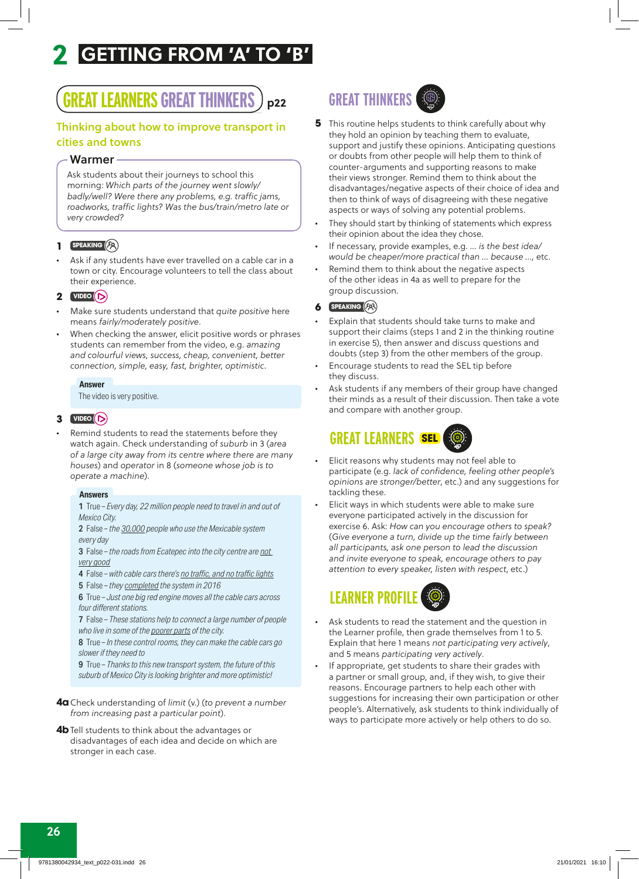# **GREAT LEARNERS GREAT THINKERS**

## Thinking about how to improve transport in cities and towns

### Warmer

Ask students about their journeys to school this morning: *Which parts of the journey went slowly/ badly/well? Were there any problems, e.g. traffic jams, roadworks, traffic lights? Was the bus/train/metro late or very crowded?*

## **1 speaking**

*•* Ask if any students have ever travelled on a cable car in a town or city. Encourage volunteers to tell the class about their experience.

#### **2 video**

- *•* Make sure students understand that *quite positive* here means *fairly/moderately positive*.
- *•* When checking the answer, elicit positive words or phrases students can remember from the video, e.g. *amazing and colourful views, success, cheap, convenient, better connection, simple, easy, fast, brighter, optimistic*.

#### **Answer**

The video is very positive.

## **3 video**

*•* Remind students to read the statements before they watch again. Check understanding of *suburb* in 3 (*area of a large city away from its centre where there are many houses*) and *operator* in 8 (*someone whose job is to operate a machine*).

#### **Answers**

1 True – *Every day, 22 million people need to travel in and out of Mexico City.*

2 False – *the 30,000 people who use the Mexicable system every day*

3 False – *the roads from Ecatepec into the city centre are not very good*

4 False – *with cable cars there's no traffic, and no traffic lights*

5 False – *they completed the system in 2016*

6 True – *Just one big red engine moves all the cable cars across four different stations.*

7 False – *These stations help to connect a large number of people who live in some of the poorer parts of the city.*

8 True – *In these control rooms, they can make the cable cars go slower if they need to*

9 True – *Thanks to this new transport system, the future of this suburb of Mexico City is looking brighter and more optimistic!*

**4a**Check understanding of *limit* (v.) (*to prevent a number from increasing past a particular point*).

**4b** Tell students to think about the advantages or disadvantages of each idea and decide on which are stronger in each case.

# **p22 GREAT THINKERS**

- **5** This routine helps students to think carefully about why they hold an opinion by teaching them to evaluate, support and justify these opinions. Anticipating questions or doubts from other people will help them to think of counter-arguments and supporting reasons to make their views stronger. Remind them to think about the disadvantages/negative aspects of their choice of idea and then to think of ways of disagreeing with these negative aspects or ways of solving any potential problems.
- *•* They should start by thinking of statements which express their opinion about the idea they chose.
- *•* If necessary, provide examples, e.g. *… is the best idea/ would be cheaper/more practical than … because …,* etc.
- *•* Remind them to think about the negative aspects of the other ideas in 4a as well to prepare for the group discussion.

#### **6 speaking**

- *•* Explain that students should take turns to make and support their claims (steps 1 and 2 in the thinking routine in exercise 5), then answer and discuss questions and doubts (step 3) from the other members of the group.
- *•* Encourage students to read the SEL tip before they discuss.
- *•* Ask students if any members of their group have changed their minds as a result of their discussion. Then take a vote and compare with another group.

# **GREAT LEARNERS SEL**

- *•* Elicit reasons why students may not feel able to participate (e.g. *lack of confidence, feeling other people's opinions are stronger/better*, etc.) and any suggestions for tackling these.
- *•* Elicit ways in which students were able to make sure everyone participated actively in the discussion for exercise 6. Ask: *How can you encourage others to speak?*  (*Give everyone a turn, divide up the time fairly between all participants, ask one person to lead the discussion and invite everyone to speak, encourage others to pay attention to every speaker, listen with respect*, etc.)

# **LEARNER PROF**

- *•* Ask students to read the statement and the question in the Learner profile, then grade themselves from 1 to 5. Explain that here 1 means *not participating very actively*, and 5 means *participating very actively*.
- *•* If appropriate, get students to share their grades with a partner or small group, and, if they wish, to give their reasons. Encourage partners to help each other with suggestions for increasing their own participation or other people's. Alternatively, ask students to think individually of ways to participate more actively or help others to do so.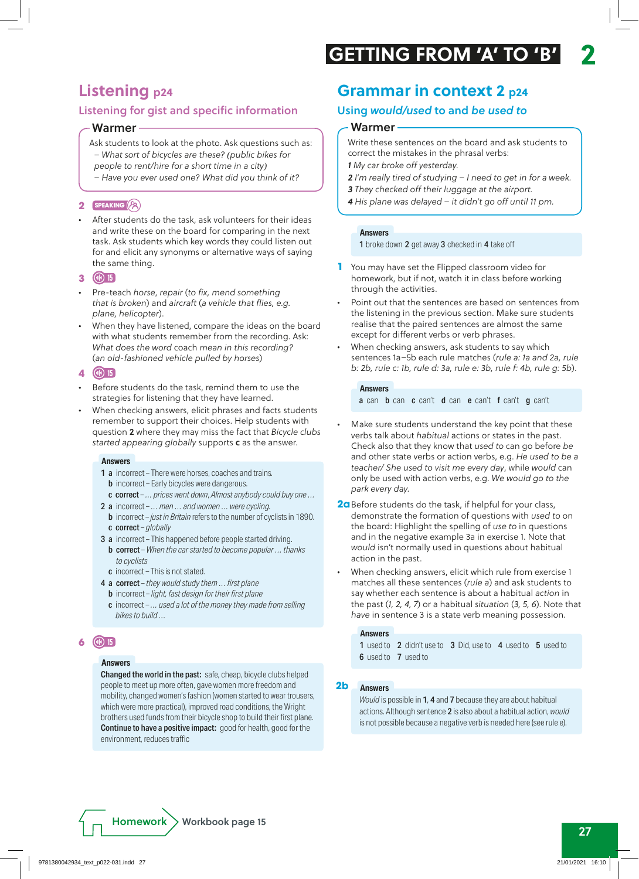# **Listening p24**

## Listening for gist and specific information

## Warmer

Ask students to look at the photo. Ask questions such as: *– What sort of bicycles are these? (public bikes for people to rent/hire for a short time in a city)*

*– Have you ever used one? What did you think of it?*

## **2 speaking**

*•* After students do the task, ask volunteers for their ideas and write these on the board for comparing in the next task. Ask students which key words they could listen out for and elicit any synonyms or alternative ways of saying the same thing.

## **3 15**

- *•* Pre-teach *horse*, *repair* (*to fix, mend something that is broken*) and *aircraft* (*a vehicle that flies, e.g. plane, helicopter*).
- *•* When they have listened, compare the ideas on the board with what students remember from the recording. Ask: *What does the word* coach *mean in this recording?* (*an old-fashioned vehicle pulled by horses*)

## **4 15**

- *•* Before students do the task, remind them to use the strategies for listening that they have learned.
- *•* When checking answers, elicit phrases and facts students remember to support their choices. Help students with question 2 where they may miss the fact that *Bicycle clubs started appearing globally* supports c as the answer.

## **Answers**

- 1 a incorrect There were horses, coaches and trains*.* **b** incorrect – Early bicycles were dangerous.
	- c correct *… prices went down*, *Almost anybody could buy one …*
- 2 a incorrect *… men … and women … were cycling.*
- b incorrect *just in Britain* refers to the number of cyclists in 1890. c correct – *globally*
- 3 a incorrect This happened before people started driving. b correct – *When the car started to become popular … thanks to cyclists*
	- c incorrect This is not stated.
- 4 a correct *they would study them … first plane*
	- b incorrect *light, fast design for their first plane*
	- c incorrect *… used a lot of the money they made from selling bikes to build …*

## **6 15**

## **Answers**

Changed the world in the past: safe, cheap, bicycle clubs helped people to meet up more often, gave women more freedom and mobility, changed women's fashion (women started to wear trousers, which were more practical), improved road conditions, the Wright brothers used funds from their bicycle shop to build their first plane. Continue to have a positive impact: good for health, good for the environment, reduces traffic

# **Grammar in context 2 p24**

## Using *would/used* to and *be used to*

## Warmer

- Write these sentences on the board and ask students to correct the mistakes in the phrasal verbs: *1 My car broke off yesterday.*
- *2 I'm really tired of studying I need to get in for a week.*
- *3 They checked off their luggage at the airport.*
- *4 His plane was delayed it didn't go off until 11 pm.*

#### **Answers**

1 broke down 2 get away 3 checked in 4 take off

- **1** You may have set the Flipped classroom video for homework, but if not, watch it in class before working through the activities.
- *•* Point out that the sentences are based on sentences from the listening in the previous section. Make sure students realise that the paired sentences are almost the same except for different verbs or verb phrases.
- *•* When checking answers, ask students to say which sentences 1a–5b each rule matches (*rule a: 1a and 2a, rule b: 2b, rule c: 1b, rule d: 3a, rule e: 3b, rule f: 4b, rule g: 5b*).

## **Answers**

a can b can c can't d can e can't f can't g can't

- *•* Make sure students understand the key point that these verbs talk about *habitual* actions or states in the past. Check also that they know that *used to* can go before *be* and other state verbs or action verbs, e.g. *He used to be a teacher/ She used to visit me every day*, while *would* can only be used with action verbs, e.g. *We would go to the park every day.*
- **2a**Before students do the task, if helpful for your class, demonstrate the formation of questions with *used to* on the board: Highlight the spelling of *use to* in questions and in the negative example 3a in exercise 1. Note that *would* isn't normally used in questions about habitual action in the past.
- *•* When checking answers, elicit which rule from exercise 1 matches all these sentences (*rule a*) and ask students to say whether each sentence is about a habitual *action* in the past (*1, 2, 4, 7*) or a habitual *situation* (*3, 5, 6*). Note that *have* in sentence 3 is a state verb meaning possession.

#### **Answers**

1 used to 2 didn't use to 3 Did, use to 4 used to 5 used to 6 used to 7 used to

## **2b Answers**

*Would* is possible in 1, 4 and 7 because they are about habitual actions. Although sentence 2 is also about a habitual action, *would* is not possible because a negative verb is needed here (see rule e).

 $Homework$  Workbook page 15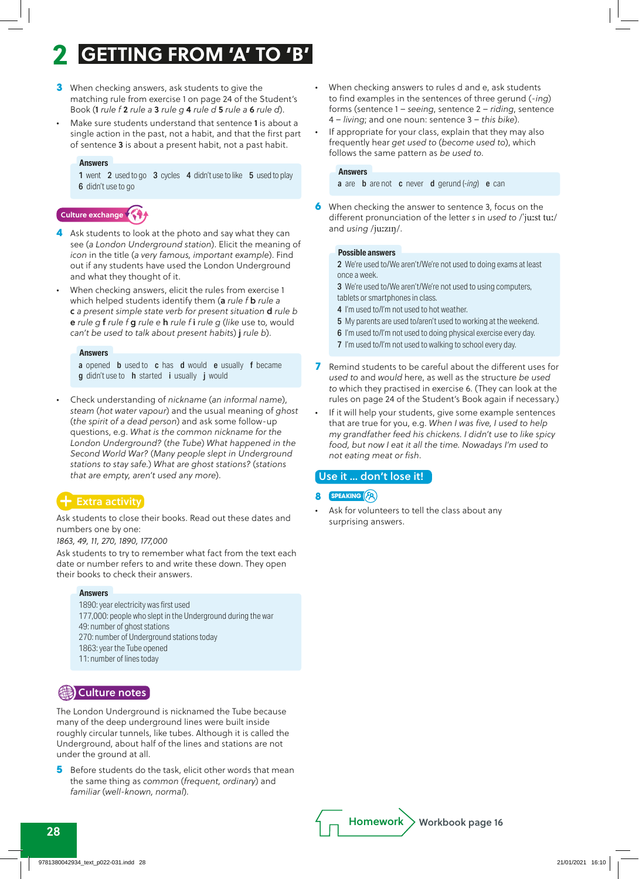- **3** When checking answers, ask students to give the matching rule from exercise 1 on page 24 of the Student's Book (1 *rule f* 2 *rule a* 3 *rule g* 4 *rule d* 5 *rule a* 6 *rule d*).
- *•* Make sure students understand that sentence 1 is about a single action in the past, not a habit, and that the first part of sentence 3 is about a present habit, not a past habit.

#### **Answers**

1 went 2 used to go 3 cycles 4 didn't use to like 5 used to play 6 didn't use to go

## **Culture exchange**

- **4** Ask students to look at the photo and say what they can see (*a London Underground station*). Elicit the meaning of *icon* in the title (*a very famous, important example*). Find out if any students have used the London Underground and what they thought of it.
- *•* When checking answers, elicit the rules from exercise 1 which helped students identify them (a *rule f* b *rule a* c *a present simple state verb for present situation* d *rule b* e *rule g* f *rule f* g *rule e* h *rule f* i *rule g* (*like* use to*,* would *can't be used to talk about present habits*) j *rule b*).

#### **Answers**

a opened **b** used to **c** has **d** would **e** usually **f** became **g** didn't use to **h** started **i** usually **j** would

*•* Check understanding of *nickname* (*an informal name*), *steam* (*hot water vapour*) and the usual meaning of *ghost* (*the spirit of a dead person*) and ask some follow-up questions, e.g. *What is the common nickname for the London Underground?* (*the Tube*) *What happened in the Second World War?* (*Many people slept in Underground stations to stay safe.*) *What are ghost stations?* (*stations that are empty, aren't used any more*).

## Extra activity

Ask students to close their books. Read out these dates and numbers one by one:

*1863, 49, 11, 270, 1890, 177,000*

Ask students to try to remember what fact from the text each date or number refers to and write these down. They open their books to check their answers.

#### **Answers**

1890: year electricity was first used 177,000: people who slept in the Underground during the war 49: number of ghost stations 270: number of Underground stations today 1863: year the Tube opened 11: number of lines today



The London Underground is nicknamed the Tube because many of the deep underground lines were built inside roughly circular tunnels, like tubes. Although it is called the Underground, about half of the lines and stations are not under the ground at all.

**5** Before students do the task, elicit other words that mean the same thing as *common* (*frequent, ordinary*) and *familiar* (*well-known, normal*).

- *•* When checking answers to rules d and e, ask students to find examples in the sentences of three gerund (-*ing*) forms (sentence 1 – *seeing*, sentence 2 – *riding*, sentence 4 – *living*; and one noun: sentence 3 – *this bike*).
- *•* If appropriate for your class, explain that they may also frequently hear *get used to* (*become used to*), which follows the same pattern as *be used to*.

#### **Answers**

a are b are not c never d gerund (-*ing*) e can

**6** When checking the answer to sentence 3, focus on the different pronunciation of the letter *s* in *used to* /ˈjuːst tuː/ and *using* /juːzɪŋ/.

#### **Possible answers**

2 We're used to/We aren't/We're not used to doing exams at least once a week.

3 We're used to/We aren't/We're not used to using computers, tablets or smartphones in class.

- 4 I'm used to/I'm not used to hot weather.
- 5 My parents are used to/aren't used to working at the weekend.
- 6 I'm used to/I'm not used to doing physical exercise every day.
- 7 I'm used to/I'm not used to walking to school every day.
- **7** Remind students to be careful about the different uses for *used to* and *would* here, as well as the structure *be used to* which they practised in exercise 6. (They can look at the rules on page 24 of the Student's Book again if necessary.)
- *•* If it will help your students, give some example sentences that are true for you, e.g. *When I was five, I used to help my grandfather feed his chickens. I didn't use to like spicy food, but now I eat it all the time. Nowadays I'm used to not eating meat or fish*.

## Use it … don't lose it!

- **8 speaking**
- *•* Ask for volunteers to tell the class about any surprising answers.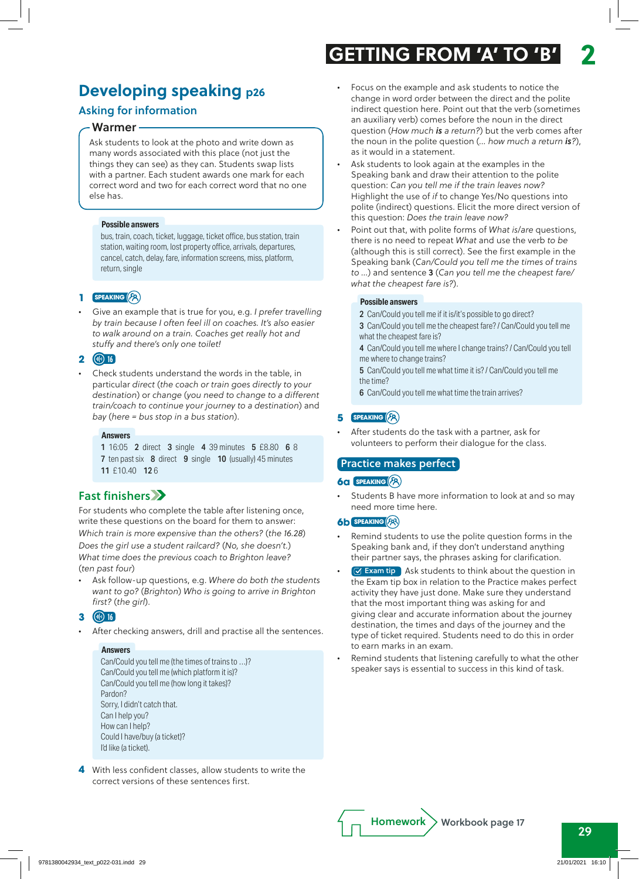## **Developing speaking p26**

## Asking for information

#### Warmer

Ask students to look at the photo and write down as many words associated with this place (not just the things they can see) as they can. Students swap lists with a partner. Each student awards one mark for each correct word and two for each correct word that no one else has.

#### **Possible answers**

bus, train, coach, ticket, luggage, ticket office, bus station, train station, waiting room, lost property office, arrivals, departures, cancel, catch, delay, fare, information screens, miss, platform, return, single

#### **1 speaking**

*•* Give an example that is true for you, e.g. *I prefer travelling by train because I often feel ill on coaches. It's also easier to walk around on a train. Coaches get really hot and stuffy and there's only one toilet!*

#### **2 16**

*•* Check students understand the words in the table, in particular *direct* (*the coach or train goes directly to your destination*) or *change* (*you need to change to a different train/coach to continue your journey to a destination*) and *bay* (*here = bus stop in a bus station*).

#### **Answers**

1 16:05 2 direct 3 single 4 39 minutes 5 £8.80 6 8 7 ten past six 8 direct 9 single 10 (usually) 45 minutes 11 £10.40 12 6

## Fast finishers

For students who complete the table after listening once, write these questions on the board for them to answer: *Which train is more expensive than the others?* (*the 16.28*) *Does the girl use a student railcard?* (*No, she doesn't.*) *What time does the previous coach to Brighton leave?*  (*ten past four*)

*•* Ask follow-up questions, e.g. *Where do both the students want to go?* (*Brighton*) *Who is going to arrive in Brighton first?* (*the girl*).

#### **3 16**

*•* After checking answers, drill and practise all the sentences.

#### **Answers**

Can/Could you tell me (the times of trains to …)? Can/Could you tell me (which platform it is)? Can/Could you tell me (how long it takes)? Pardon? Sorry, I didn't catch that. Can I help you? How can I help? Could I have/buy (a ticket)? I'd like (a ticket).

**4** With less confident classes, allow students to write the correct versions of these sentences first.

# **GETTING FROM 'A' TO 'B' 2**

- *•* Focus on the example and ask students to notice the change in word order between the direct and the polite indirect question here. Point out that the verb (sometimes an auxiliary verb) comes before the noun in the direct question (*How much is a return?*) but the verb comes after the noun in the polite question (*… how much a return is?*), as it would in a statement.
- *•* Ask students to look again at the examples in the Speaking bank and draw their attention to the polite question: *Can you tell me if the train leaves now?* Highlight the use of *if* to change Yes/No questions into polite (indirect) questions. Elicit the more direct version of this question: *Does the train leave now?*
- *•* Point out that, with polite forms of *What is*/*are* questions, there is no need to repeat *What* and use the verb *to be* (although this is still correct). See the first example in the Speaking bank (*Can/Could you tell me the times of trains to ...*) and sentence 3 (*Can you tell me the cheapest fare/ what the cheapest fare is?*).

#### **Possible answers**

- 2 Can/Could you tell me if it is/it's possible to go direct?
- 3 Can/Could you tell me the cheapest fare? / Can/Could you tell me what the cheapest fare is?
- 4 Can/Could you tell me where I change trains? / Can/Could you tell me where to change trains?

5 Can/Could you tell me what time it is? / Can/Could you tell me the time?

6 Can/Could you tell me what time the train arrives?

## **5 speaking**

*•* After students do the task with a partner, ask for volunteers to perform their dialogue for the class.

#### Practice makes perfect

#### **6a speaking**

*•* Students B have more information to look at and so may need more time here.

#### **6b speaking**

- *•* Remind students to use the polite question forms in the Speaking bank and, if they don't understand anything their partner says, the phrases asking for clarification.
- **•** Exam tip Ask students to think about the question in the Exam tip box in relation to the Practice makes perfect activity they have just done. Make sure they understand that the most important thing was asking for and giving clear and accurate information about the journey destination, the times and days of the journey and the type of ticket required. Students need to do this in order to earn marks in an exam.
- *•* Remind students that listening carefully to what the other speaker says is essential to success in this kind of task.

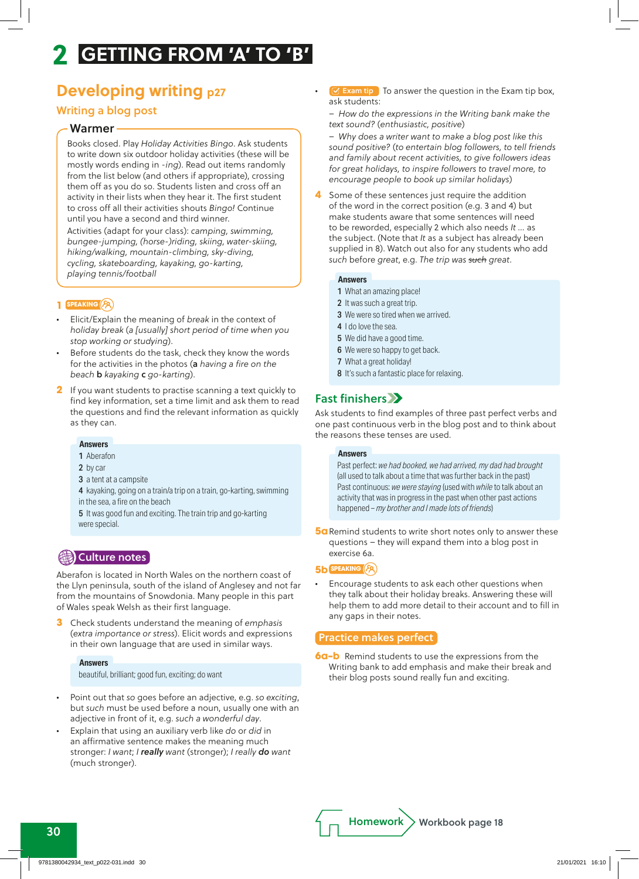## **Developing writing p27**

## Writing a blog post

### Warmer

Books closed. Play *Holiday Activities Bingo*. Ask students to write down six outdoor holiday activities (these will be mostly words ending in -*ing*). Read out items randomly from the list below (and others if appropriate), crossing them off as you do so. Students listen and cross off an activity in their lists when they hear it. The first student to cross off all their activities shouts *Bingo!* Continue until you have a second and third winner.

Activities (adapt for your class): *camping, swimming, bungee-jumping, (horse-)riding, skiing, water-skiing, hiking/walking, mountain-climbing, sky-diving, cycling, skateboarding, kayaking, go-karting, playing tennis/football*

#### **1 speaking**

- *•* Elicit/Explain the meaning of *break* in the context of *holiday break* (*a [usually] short period of time when you stop working or studying*).
- *•* Before students do the task, check they know the words for the activities in the photos (a *having a fire on the beach* b *kayaking* c *go-karting*).
- **2** If you want students to practise scanning a text quickly to find key information, set a time limit and ask them to read the questions and find the relevant information as quickly as they can.

#### **Answers**

- 1 Aberafon
- 2 by car
- 3 a tent at a campsite
- 4 kayaking, going on a train/a trip on a train, go-karting, swimming in the sea, a fire on the beach

5 It was good fun and exciting. The train trip and go-karting were special.

## **B**Culture notes

Aberafon is located in North Wales on the northern coast of the Llyn peninsula, south of the island of Anglesey and not far from the mountains of Snowdonia. Many people in this part of Wales speak Welsh as their first language.

**3** Check students understand the meaning of *emphasis*  (*extra importance or stress*). Elicit words and expressions in their own language that are used in similar ways.

#### **Answers**

beautiful, brilliant; good fun, exciting; do want

- *•* Point out that *so* goes before an adjective, e.g. *so exciting*, but *such* must be used before a noun, usually one with an adjective in front of it, e.g. *such a wonderful day*.
- *•* Explain that using an auxiliary verb like *do* or *did* in an affirmative sentence makes the meaning much stronger: *I want*; *I really want* (stronger); *I really do want* (much stronger).

**••** Exam tip To answer the question in the Exam tip box, ask students:

*– How do the expre*s*sions in the Writing bank make the text sound?* (*enthusiastic, positive*)

*– Why does a writer want to make a blog post like this sound positive?* (*to entertain blog followers, to tell friends and family about recent activities, to give followers ideas for great holidays, to inspire followers to travel more, to encourage people to book up similar holidays*)

**4** Some of these sentences just require the addition of the word in the correct position (e.g. 3 and 4) but make students aware that some sentences will need to be reworded, especially 2 which also needs *It …* as the subject. (Note that *It* as a subject has already been supplied in 8). Watch out also for any students who add *such* before *great*, e.g. *The trip was such great*.

#### **Answers**

- 1 What an amazing place!
- 2 It was such a great trip.
- 3 We were so tired when we arrived.
- 4 I do love the sea.
- 5 We did have a good time.
- 6 We were so happy to get back.
- 7 What a great holiday!
- 8 It's such a fantastic place for relaxing.

## Fast finishers

Ask students to find examples of three past perfect verbs and one past continuous verb in the blog post and to think about the reasons these tenses are used.

#### **Answers**

Past perfect: *we had booked, we had arrived, my dad had brought* (all used to talk about a time that was further back in the past) Past continuous: *we were staying* (used with *while* to talk about an activity that was in progress in the past when other past actions happened – *my brother and I made lots of friends*)

**5a** Remind students to write short notes only to answer these questions – they will expand them into a blog post in exercise 6a.

#### **5b speaking**

*•* Encourage students to ask each other questions when they talk about their holiday breaks. Answering these will help them to add more detail to their account and to fill in any gaps in their notes.

#### Practice makes perfect

**6a–b** Remind students to use the expressions from the Writing bank to add emphasis and make their break and their blog posts sound really fun and exciting.

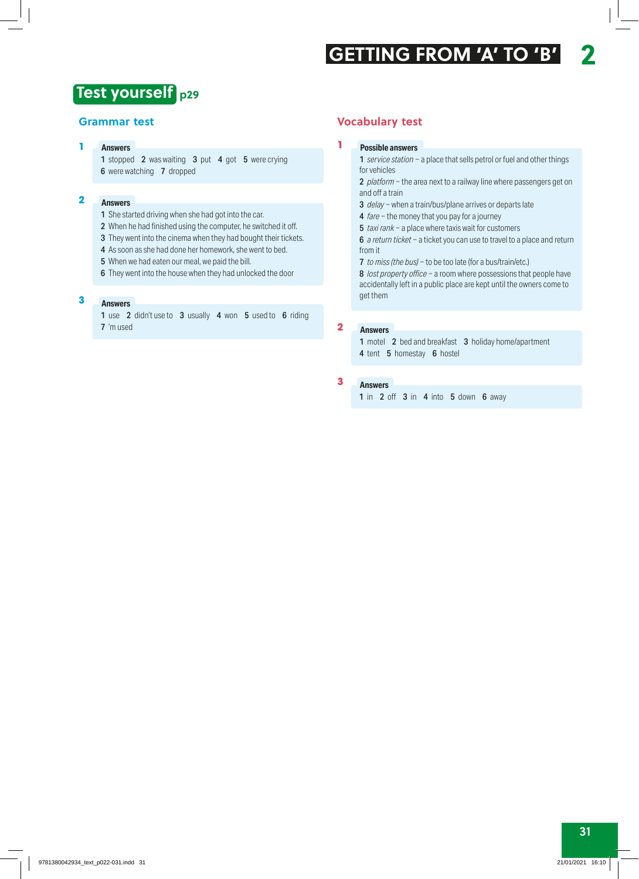## **p29 Test yourself**

### **Grammar test**

#### **Answers 1**

1 stopped 2 was waiting 3 put 4 got 5 were crying 6 were watching 7 dropped

#### **Answers 2**

- 1 She started driving when she had got into the car.
- 2 When he had finished using the computer, he switched it off.
- 3 They went into the cinema when they had bought their tickets.
- 4 As soon as she had done her homework, she went to bed.
- 5 When we had eaten our meal, we paid the bill.
- 6 They went into the house when they had unlocked the door

#### **Answers 3**

1 use 2 didn't use to 3 usually 4 won 5 used to 6 riding 7 'm used

### **Vocabulary test**

#### **Possible answers**

**1**

1 *service station* − a place that sells petrol or fuel and other things for vehicles

2 *platform* − the area next to a railway line where passengers get on and off a train

- 3 *delay* − when a train/bus/plane arrives or departs late
- 4 *fare* − the money that you pay for a journey
- 5 *taxi rank* − a place where taxis wait for customers

6 *a return ticket* − a ticket you can use to travel to a place and return from it

7 *to miss (the bus)* − to be too late (for a bus/train/etc.)

8 *lost property office* − a room where possessions that people have accidentally left in a public place are kept until the owners come to get them

#### **Answers 2**

1 motel 2 bed and breakfast 3 holiday home/apartment 4 tent 5 homestay 6 hostel

#### **Answers 3**

1 in 2 off 3 in 4 into 5 down 6 away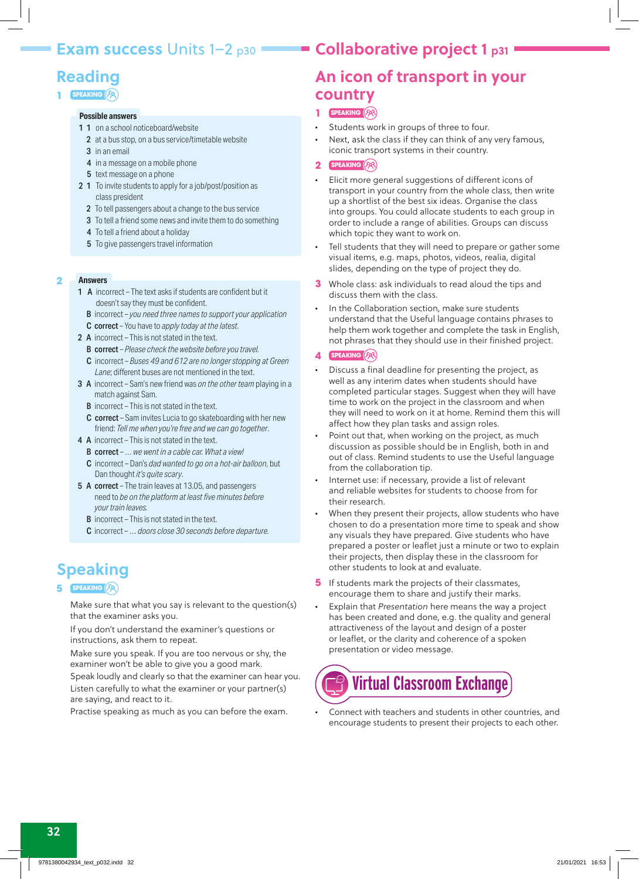## **Exam success Units 1–2 p30 Collaborative project 1 p31**

# **Reading**

### **1 speaking**

## **Possible answers**

- 1 1 on a school noticeboard/website
	- 2 at a bus stop, on a bus service/timetable website
	- 3 in an email
	- 4 in a message on a mobile phone
	- **5** text message on a phone
- 2 1 To invite students to apply for a job/post/position as class president
	- 2 To tell passengers about a change to the bus service
	- 3 To tell a friend some news and invite them to do something
	- 4 To tell a friend about a holiday
	- 5 To give passengers travel information

#### **Answers 2**

- 1 **A** incorrect The text asks if students are confident but it doesn't say they must be confident.
	- B incorrect *you need three names to support your application* C correct – You have to *apply today at the latest*.
- 2 A incorrect This is not stated in the text.
- B correct *Please check the website before you travel.*
- C incorrect *Buses 49 and 612 are no longer stopping at Green Lane*; different buses are not mentioned in the text.
- 3 A incorrect Sam's new friend was *on the other team* playing in a match against Sam.
	- B incorrect This is not stated in the text.
	- C correct Sam invites Lucia to go skateboarding with her new friend: *Tell me when you're free and we can go together*.
- 4 A incorrect This is not stated in the text.
	- B correct … *we went in a cable car. What a view!*
	- C incorrect Dan's *dad wanted to go on a hot-air balloon*, but Dan thought *it's quite scary*.
- 5 A correct The train leaves at 13.05, and passengers need to *be on the platform at least five minutes before your train leaves.*
	- **B** incorrect This is not stated in the text.
	- C incorrect … *doors close 30 seconds before departure.*

# **Speaking**

#### **5 speaking**

Make sure that what you say is relevant to the question(s) that the examiner asks you.

If you don't understand the examiner's questions or instructions, ask them to repeat.

Make sure you speak. If you are too nervous or shy, the examiner won't be able to give you a good mark.

Speak loudly and clearly so that the examiner can hear you. Listen carefully to what the examiner or your partner(s) are saying, and react to it.

Practise speaking as much as you can before the exam.

# **An icon of transport in your country**

## **1 speaking**

- *•* Students work in groups of three to four.
- *•* Next, ask the class if they can think of any very famous, iconic transport systems in their country.

### **2 speaking**

- *•* Elicit more general suggestions of different icons of transport in your country from the whole class, then write up a shortlist of the best six ideas. Organise the class into groups. You could allocate students to each group in order to include a range of abilities. Groups can discuss which topic they want to work on.
- *•* Tell students that they will need to prepare or gather some visual items, e.g. maps, photos, videos, realia, digital slides, depending on the type of project they do.
- **3** Whole class: ask individuals to read aloud the tips and discuss them with the class.
- *•* In the Collaboration section, make sure students understand that the Useful language contains phrases to help them work together and complete the task in English, not phrases that they should use in their finished project.
- **4 speaking**
- *•* Discuss a final deadline for presenting the project, as well as any interim dates when students should have completed particular stages. Suggest when they will have time to work on the project in the classroom and when they will need to work on it at home. Remind them this will affect how they plan tasks and assign roles.
- Point out that, when working on the project, as much discussion as possible should be in English, both in and out of class. Remind students to use the Useful language from the collaboration tip.
- *•* Internet use: if necessary, provide a list of relevant and reliable websites for students to choose from for their research.
- When they present their projects, allow students who have chosen to do a presentation more time to speak and show any visuals they have prepared. Give students who have prepared a poster or leaflet just a minute or two to explain their projects, then display these in the classroom for other students to look at and evaluate.
- **5** If students mark the projects of their classmates, encourage them to share and justify their marks.
- *•* Explain that *Presentation* here means the way a project has been created and done, e.g. the quality and general attractiveness of the layout and design of a poster or leaflet, or the clarity and coherence of a spoken presentation or video message.

# **Virtual Classroom Exchange**

*•* Connect with teachers and students in other countries, and encourage students to present their projects to each other.